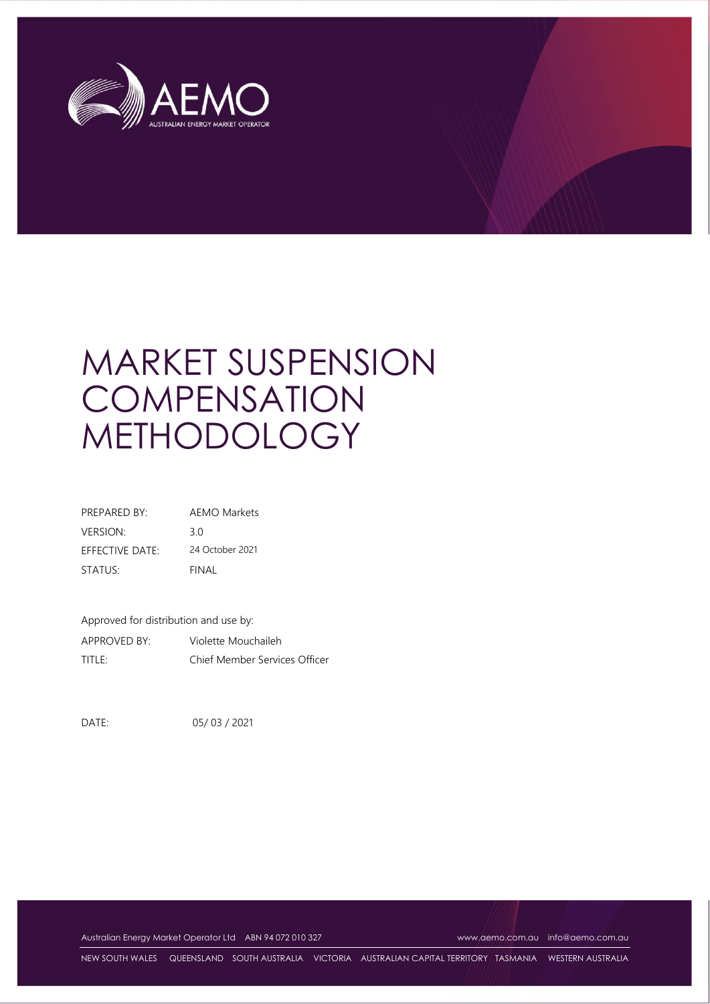

# MARKET SUSPENSION **COMPENSATION** METHODOLOGY

| PRFPARFD BY:    | <b>AEMO Markets</b> |
|-----------------|---------------------|
| <b>VERSION:</b> | 30                  |
| EFFECTIVE DATE: | 24 October 2021     |
| STATUS:         | FINAL               |

Approved for distribution and use by: APPROVED BY: Violette Mouchaileh TITLE: Chief Member Services Officer

DATE: 05/ 03 / 2021

Australian Energy Market Operator Ltd ABN 94 072 010 327 [www.aemo.com.au](http://www.aemo.com.au/) [info@aemo.com.au](mailto:info@aemo.com.au)

NEW SOUTH WALES QUEENSLAND SOUTH AUSTRALIA VICTORIA AUSTRALIAN CAPITAL TERRITORY TASMANIA WESTERN AUSTRALIA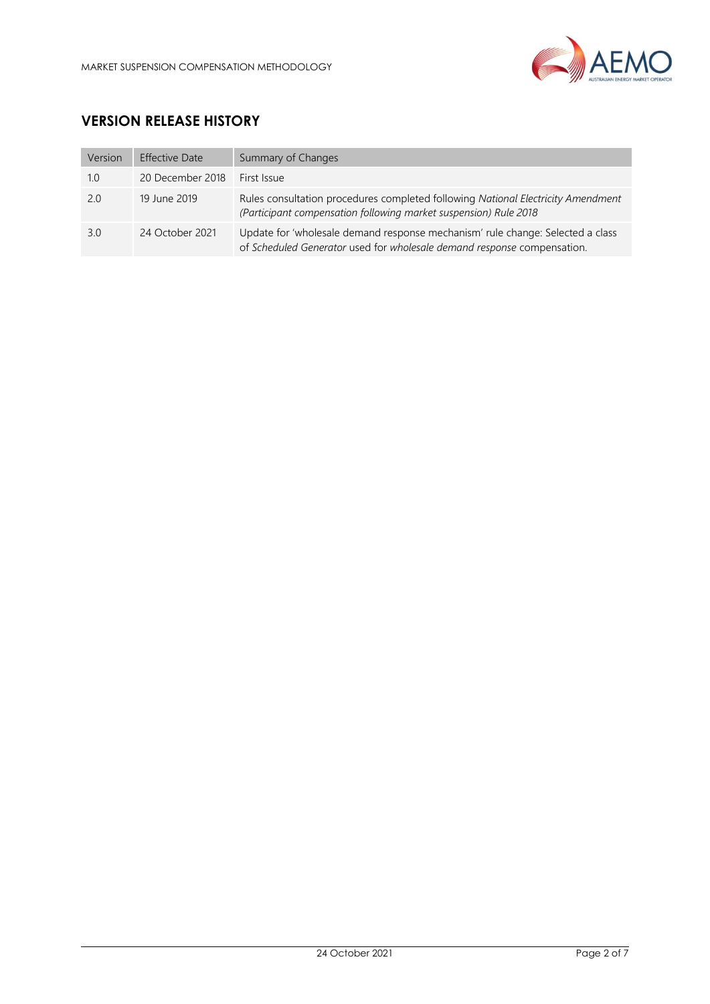

## **VERSION RELEASE HISTORY**

| Version | <b>Effective Date</b> | Summary of Changes                                                                                                                                        |
|---------|-----------------------|-----------------------------------------------------------------------------------------------------------------------------------------------------------|
| 1.0     | 20 December 2018      | First Issue                                                                                                                                               |
| 2.0     | 19 June 2019          | Rules consultation procedures completed following National Electricity Amendment<br>(Participant compensation following market suspension) Rule 2018      |
| 3.0     | 24 October 2021       | Update for 'wholesale demand response mechanism' rule change: Selected a class<br>of Scheduled Generator used for wholesale demand response compensation. |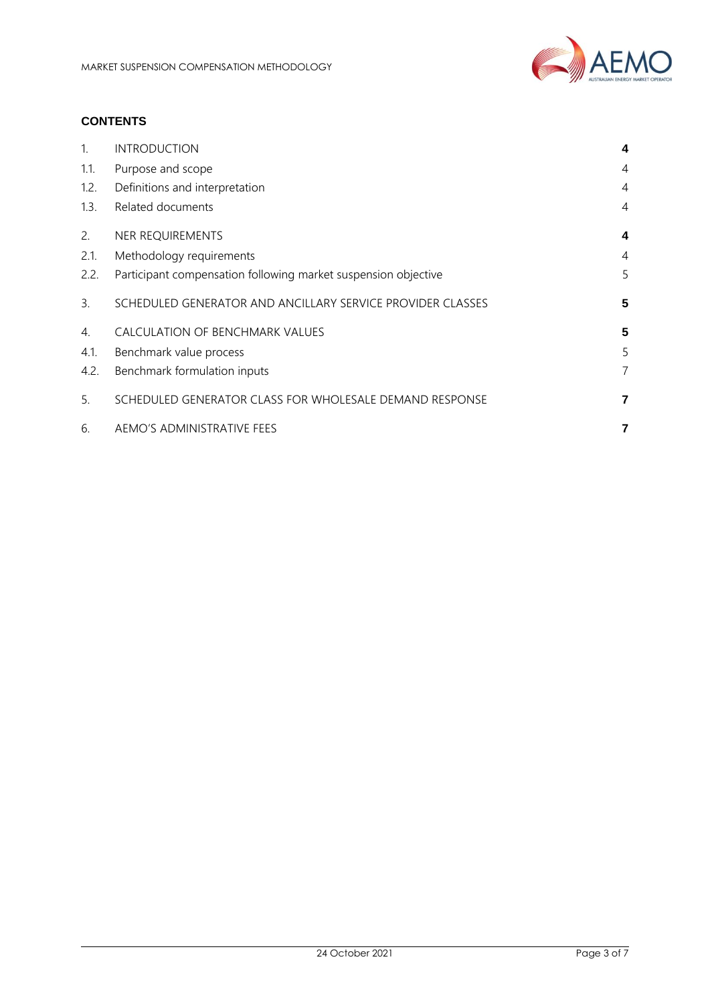

## **CONTENTS**

| 1.   | <b>INTRODUCTION</b>                                            | 4              |
|------|----------------------------------------------------------------|----------------|
| 1.1. | Purpose and scope                                              | 4              |
| 1.2. | Definitions and interpretation                                 | 4              |
| 1.3. | Related documents                                              | $\overline{4}$ |
| 2.   | NER REQUIREMENTS                                               | 4              |
| 2.1. | Methodology requirements                                       | 4              |
| 2.2. | Participant compensation following market suspension objective | 5              |
| 3.   | SCHEDULED GENERATOR AND ANCILLARY SERVICE PROVIDER CLASSES     | 5              |
| 4.   | CALCULATION OF BENCHMARK VALUES                                | 5              |
| 4.1. | Benchmark value process                                        | 5              |
| 4.2. | Benchmark formulation inputs                                   | 7              |
| 5.   | SCHEDULED GENERATOR CLASS FOR WHOLESALE DEMAND RESPONSE        | 7              |
| 6.   | AEMO'S ADMINISTRATIVE FEES                                     | 7              |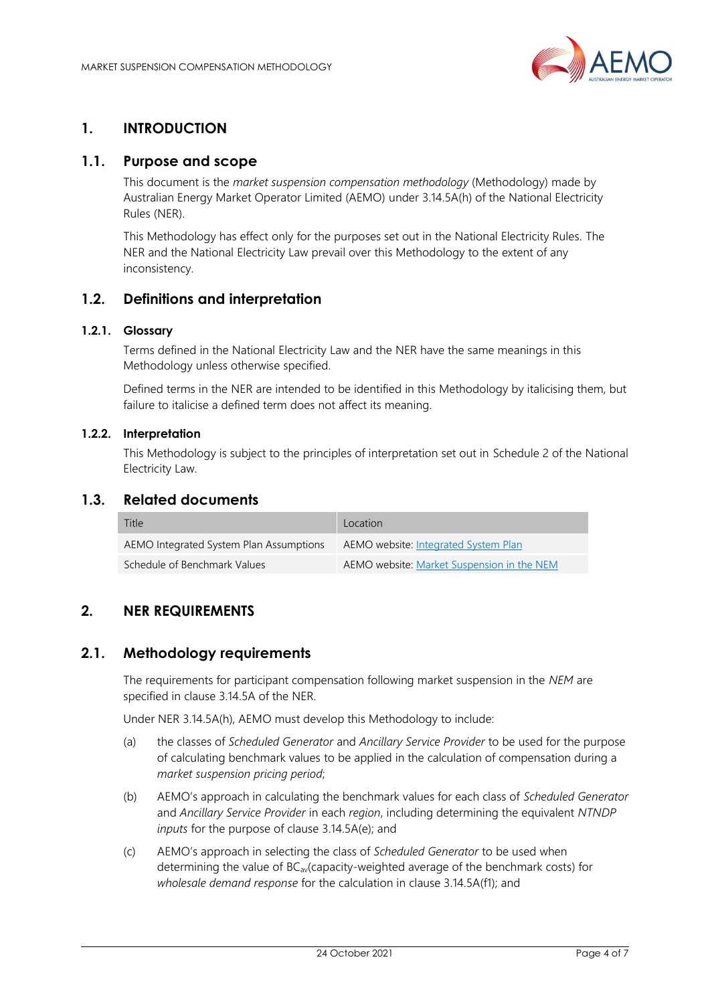

## <span id="page-3-0"></span>**1. INTRODUCTION**

## <span id="page-3-1"></span>**1.1. Purpose and scope**

This document is the *market suspension compensation methodology* (Methodology) made by Australian Energy Market Operator Limited (AEMO) under 3.14.5A(h) of the National Electricity Rules (NER).

This Methodology has effect only for the purposes set out in the National Electricity Rules. The NER and the National Electricity Law prevail over this Methodology to the extent of any inconsistency.

### <span id="page-3-2"></span>**1.2. Definitions and interpretation**

#### **1.2.1. Glossary**

Terms defined in the National Electricity Law and the NER have the same meanings in this Methodology unless otherwise specified.

Defined terms in the NER are intended to be identified in this Methodology by italicising them, but failure to italicise a defined term does not affect its meaning.

#### **1.2.2. Interpretation**

This Methodology is subject to the principles of interpretation set out in Schedule 2 of the National Electricity Law.

#### <span id="page-3-3"></span>**1.3. Related documents**

| Title                                   | Location                                   |
|-----------------------------------------|--------------------------------------------|
| AEMO Integrated System Plan Assumptions | AEMO website: Integrated System Plan       |
| Schedule of Benchmark Values            | AEMO website: Market Suspension in the NEM |

## <span id="page-3-4"></span>**2. NER REQUIREMENTS**

#### <span id="page-3-5"></span>**2.1. Methodology requirements**

The requirements for participant compensation following market suspension in the *NEM* are specified in clause 3.14.5A of the NER.

Under NER 3.14.5A(h), AEMO must develop this Methodology to include:

- (a) the classes of *Scheduled Generator* and *Ancillary Service Provider* to be used for the purpose of calculating benchmark values to be applied in the calculation of compensation during a *market suspension pricing period*;
- (b) AEMO's approach in calculating the benchmark values for each class of *Scheduled Generator*  and *Ancillary Service Provider* in each *region*, including determining the equivalent *NTNDP inputs* for the purpose of clause 3.14.5A(e); and
- (c) AEMO's approach in selecting the class of *Scheduled Generator* to be used when determining the value of BC<sub>av</sub>(capacity-weighted average of the benchmark costs) for *wholesale demand response* for the calculation in clause 3.14.5A(f1); and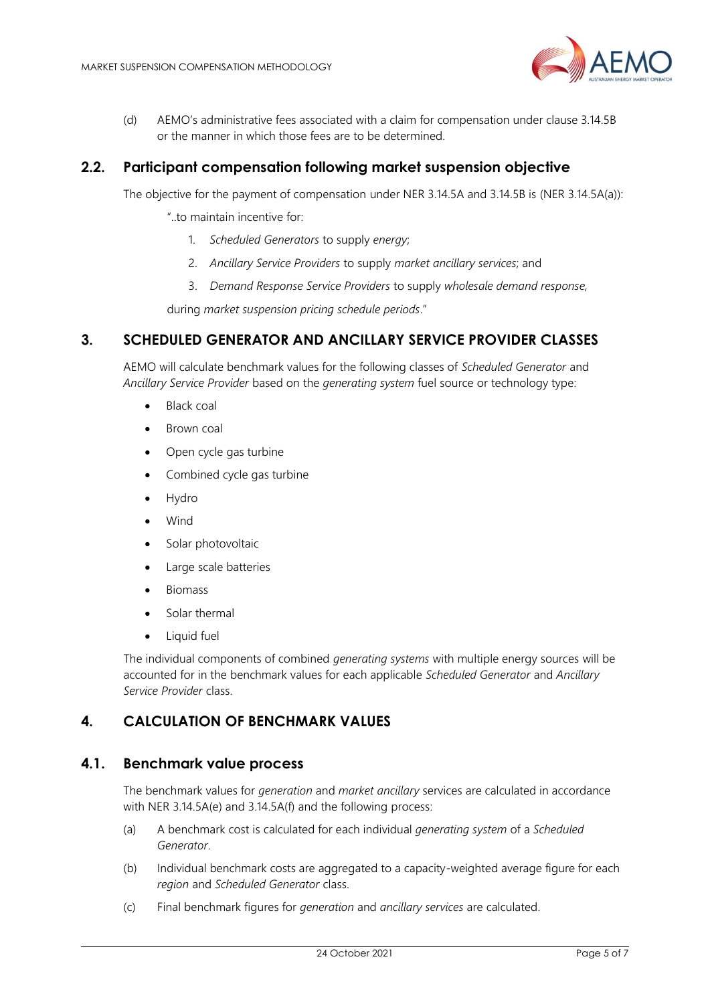

(d) AEMO's administrative fees associated with a claim for compensation under clause 3.14.5B or the manner in which those fees are to be determined.

## <span id="page-4-0"></span>**2.2. Participant compensation following market suspension objective**

The objective for the payment of compensation under NER 3.14.5A and 3.14.5B is (NER 3.14.5A(a)):

- "..to maintain incentive for:
	- 1. *Scheduled Generators* to supply *energy*;
	- 2. *Ancillary Service Providers* to supply *market ancillary services*; and
	- 3. *Demand Response Service Providers* to supply *wholesale demand response,*

during *market suspension pricing schedule periods*."

#### <span id="page-4-1"></span>**3. SCHEDULED GENERATOR AND ANCILLARY SERVICE PROVIDER CLASSES**

AEMO will calculate benchmark values for the following classes of *Scheduled Generator* and *Ancillary Service Provider* based on the *generating system* fuel source or technology type:

- Black coal
- Brown coal
- Open cycle gas turbine
- Combined cycle gas turbine
- Hydro
- Wind
- Solar photovoltaic
- Large scale batteries
- Biomass
- Solar thermal
- Liquid fuel

The individual components of combined *generating systems* with multiple energy sources will be accounted for in the benchmark values for each applicable *Scheduled Generator* and *Ancillary Service Provider* class.

## <span id="page-4-2"></span>**4. CALCULATION OF BENCHMARK VALUES**

#### <span id="page-4-3"></span>**4.1. Benchmark value process**

The benchmark values for *generation* and *market ancillary* services are calculated in accordance with NER 3.14.5A(e) and 3.14.5A(f) and the following process:

- (a) A benchmark cost is calculated for each individual *generating system* of a *Scheduled Generator*.
- (b) Individual benchmark costs are aggregated to a capacity-weighted average figure for each *region* and *Scheduled Generator* class.
- (c) Final benchmark figures for *generation* and *ancillary services* are calculated.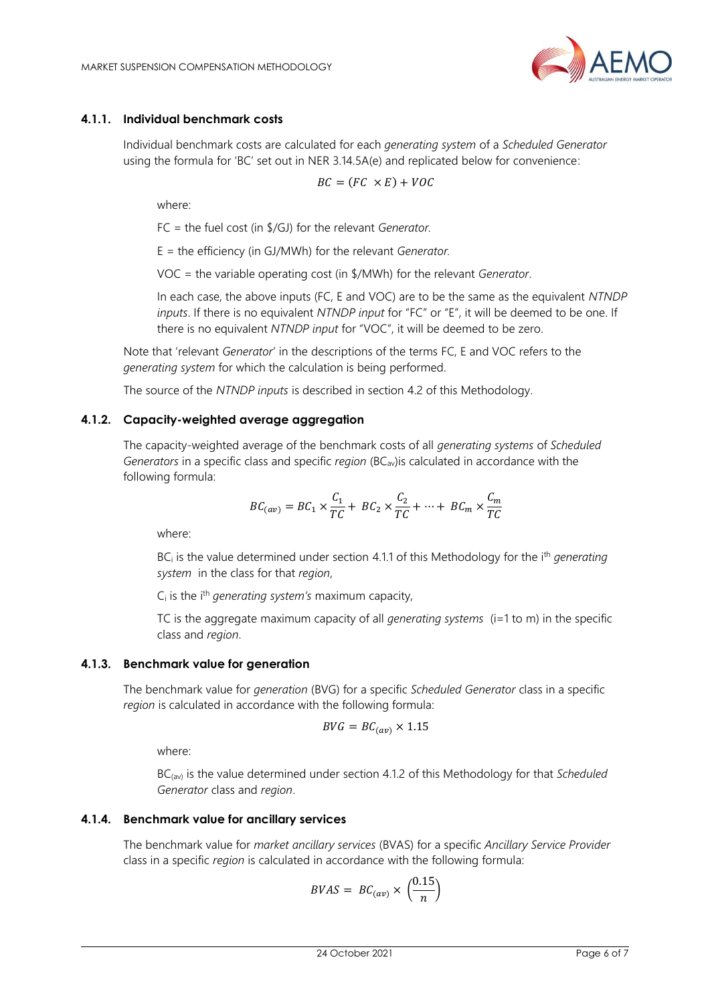

#### <span id="page-5-0"></span>**4.1.1. Individual benchmark costs**

Individual benchmark costs are calculated for each *generating system* of a *Scheduled Generator*  using the formula for 'BC' set out in NER 3.14.5A(e) and replicated below for convenience:

$$
BC = (FC \times E) + VOC
$$

where:

FC = the fuel cost (in \$/GJ) for the relevant *Generator.*

E = the efficiency (in GJ/MWh) for the relevant *Generator.*

VOC = the variable operating cost (in \$/MWh) for the relevant *Generator*.

In each case, the above inputs (FC, E and VOC) are to be the same as the equivalent *NTNDP inputs*. If there is no equivalent *NTNDP input* for "FC" or "E", it will be deemed to be one. If there is no equivalent *NTNDP input* for "VOC", it will be deemed to be zero.

Note that 'relevant *Generator*' in the descriptions of the terms FC, E and VOC refers to the *generating system* for which the calculation is being performed.

The source of the *NTNDP inputs* is described in section [4.2](#page-6-0) of this Methodology.

#### <span id="page-5-1"></span>**4.1.2. Capacity-weighted average aggregation**

The capacity-weighted average of the benchmark costs of all *generating systems* of *Scheduled Generators* in a specific class and specific *region* (BCav)is calculated in accordance with the following formula:

$$
BC_{(av)} = BC_1 \times \frac{C_1}{TC} + BC_2 \times \frac{C_2}{TC} + \dots + BC_m \times \frac{C_m}{TC}
$$

where:

BC<sup>i</sup> is the value determined under section [4.1.1](#page-5-0) of this Methodology for the ith *generating system* in the class for that *region*,

C<sup>i</sup> is the i th *generating system's* maximum capacity,

TC is the aggregate maximum capacity of all *generating systems* (i=1 to m) in the specific class and *region*.

#### **4.1.3. Benchmark value for generation**

The benchmark value for *generation* (BVG) for a specific *Scheduled Generator* class in a specific *region* is calculated in accordance with the following formula:

$$
BVG = BC_{(av)} \times 1.15
$$

where:

BC(av) is the value determined under section [4.1.2](#page-5-1) of this Methodology for that *Scheduled Generator* class and *region*.

#### **4.1.4. Benchmark value for ancillary services**

The benchmark value for *market ancillary services* (BVAS) for a specific *Ancillary Service Provider* class in a specific *region* is calculated in accordance with the following formula:

$$
BVAS = BC_{(av)} \times \left(\frac{0.15}{n}\right)
$$